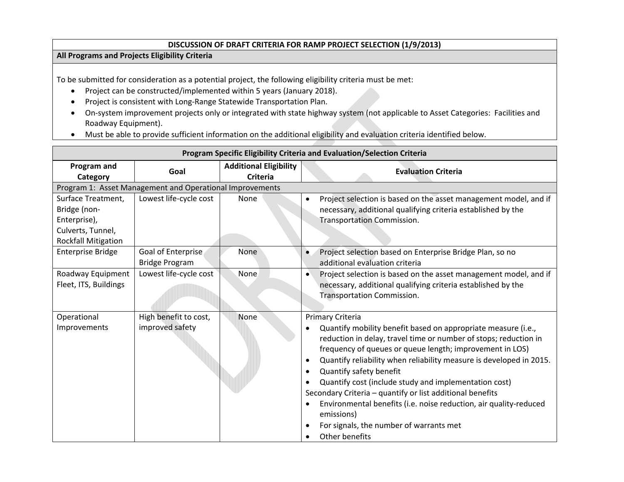## **DISCUSSION OF DRAFT CRITERIA FOR RAMP PROJECT SELECTION (1/9/2013)**

## **All Programs and Projects Eligibility Criteria**

To be submitted for consideration as <sup>a</sup> potential project, the following eligibility criteria must be met:

- Project can be constructed/implemented within 5 years (January 2018).
- $\bullet$ Project is consistent with Long‐Range Statewide Transportation Plan.
- On-system improvement projects only or integrated with state highway system (not applicable to Asset Categories: Facilities and Roadway Equipment).
- Must be able to provide sufficient information on the additional eligibility and evaluation criteria identified below.

| Program Specific Eligibility Criteria and Evaluation/Selection Criteria                               |                                             |                                                  |                                                                                                                                                                                                                                                                                                                                                                                                                                                                                                                                                                                           |  |
|-------------------------------------------------------------------------------------------------------|---------------------------------------------|--------------------------------------------------|-------------------------------------------------------------------------------------------------------------------------------------------------------------------------------------------------------------------------------------------------------------------------------------------------------------------------------------------------------------------------------------------------------------------------------------------------------------------------------------------------------------------------------------------------------------------------------------------|--|
| Program and<br>Category                                                                               | Goal                                        | <b>Additional Eligibility</b><br><b>Criteria</b> | <b>Evaluation Criteria</b>                                                                                                                                                                                                                                                                                                                                                                                                                                                                                                                                                                |  |
| Program 1: Asset Management and Operational Improvements                                              |                                             |                                                  |                                                                                                                                                                                                                                                                                                                                                                                                                                                                                                                                                                                           |  |
| Surface Treatment,<br>Bridge (non-<br>Enterprise),<br>Culverts, Tunnel,<br><b>Rockfall Mitigation</b> | Lowest life-cycle cost                      | None                                             | Project selection is based on the asset management model, and if<br>$\bullet$<br>necessary, additional qualifying criteria established by the<br><b>Transportation Commission.</b>                                                                                                                                                                                                                                                                                                                                                                                                        |  |
| <b>Enterprise Bridge</b>                                                                              | Goal of Enterprise<br><b>Bridge Program</b> | <b>None</b>                                      | Project selection based on Enterprise Bridge Plan, so no<br>additional evaluation criteria                                                                                                                                                                                                                                                                                                                                                                                                                                                                                                |  |
| Roadway Equipment<br>Fleet, ITS, Buildings                                                            | Lowest life-cycle cost                      | None                                             | Project selection is based on the asset management model, and if<br>$\bullet$<br>necessary, additional qualifying criteria established by the<br><b>Transportation Commission.</b>                                                                                                                                                                                                                                                                                                                                                                                                        |  |
| Operational<br>Improvements                                                                           | High benefit to cost,<br>improved safety    | None                                             | Primary Criteria<br>Quantify mobility benefit based on appropriate measure (i.e.,<br>reduction in delay, travel time or number of stops; reduction in<br>frequency of queues or queue length; improvement in LOS)<br>Quantify reliability when reliability measure is developed in 2015.<br>Quantify safety benefit<br>Quantify cost (include study and implementation cost)<br>Secondary Criteria - quantify or list additional benefits<br>Environmental benefits (i.e. noise reduction, air quality-reduced<br>emissions)<br>For signals, the number of warrants met<br>Other benefits |  |